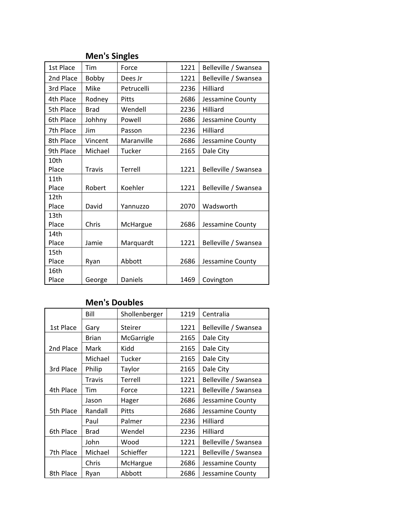## **Men's Singles**

| 1st Place | Tim           | Force        | 1221 | Belleville / Swansea |
|-----------|---------------|--------------|------|----------------------|
| 2nd Place | Bobby         | Dees Jr      | 1221 | Belleville / Swansea |
| 3rd Place | Mike          | Petrucelli   | 2236 | Hilliard             |
| 4th Place | Rodney        | <b>Pitts</b> | 2686 | Jessamine County     |
| 5th Place | <b>Brad</b>   | Wendell      | 2236 | <b>Hilliard</b>      |
| 6th Place | Johhny        | Powell       | 2686 | Jessamine County     |
| 7th Place | Jim           | Passon       | 2236 | <b>Hilliard</b>      |
| 8th Place | Vincent       | Maranville   | 2686 | Jessamine County     |
| 9th Place | Michael       | Tucker       | 2165 | Dale City            |
| 10th      |               |              |      |                      |
| Place     | <b>Travis</b> | Terrell      | 1221 | Belleville / Swansea |
| 11th      |               |              |      |                      |
| Place     | Robert        | Koehler      | 1221 | Belleville / Swansea |
| 12th      |               |              |      |                      |
| Place     | David         | Yannuzzo     | 2070 | Wadsworth            |
| 13th      |               |              |      |                      |
| Place     | Chris         | McHargue     | 2686 | Jessamine County     |
| 14th      |               |              |      |                      |
| Place     | Jamie         | Marquardt    | 1221 | Belleville / Swansea |
| 15th      |               |              |      |                      |
| Place     | Ryan          | Abbott       | 2686 | Jessamine County     |
| 16th      |               |              |      |                      |
| Place     | George        | Daniels      | 1469 | Covington            |

## **Men's Doubles**

|           | Bill         | Shollenberger | 1219 | Centralia            |
|-----------|--------------|---------------|------|----------------------|
| 1st Place | Gary         | Steirer       | 1221 | Belleville / Swansea |
|           | <b>Brian</b> | McGarrigle    | 2165 | Dale City            |
| 2nd Place | Mark         | Kidd          | 2165 | Dale City            |
|           | Michael      | Tucker        | 2165 | Dale City            |
| 3rd Place | Philip       | Taylor        | 2165 | Dale City            |
|           | Travis       | Terrell       | 1221 | Belleville / Swansea |
| 4th Place | Tim          | Force         | 1221 | Belleville / Swansea |
|           | Jason        | Hager         | 2686 | Jessamine County     |
| 5th Place | Randall      | Pitts         | 2686 | Jessamine County     |
|           | Paul         | Palmer        | 2236 | Hilliard             |
| 6th Place | <b>Brad</b>  | Wendel        | 2236 | Hilliard             |
|           | John         | Wood          | 1221 | Belleville / Swansea |
| 7th Place | Michael      | Schieffer     | 1221 | Belleville / Swansea |
|           | Chris        | McHargue      | 2686 | Jessamine County     |
| 8th Place | Ryan         | Abbott        | 2686 | Jessamine County     |